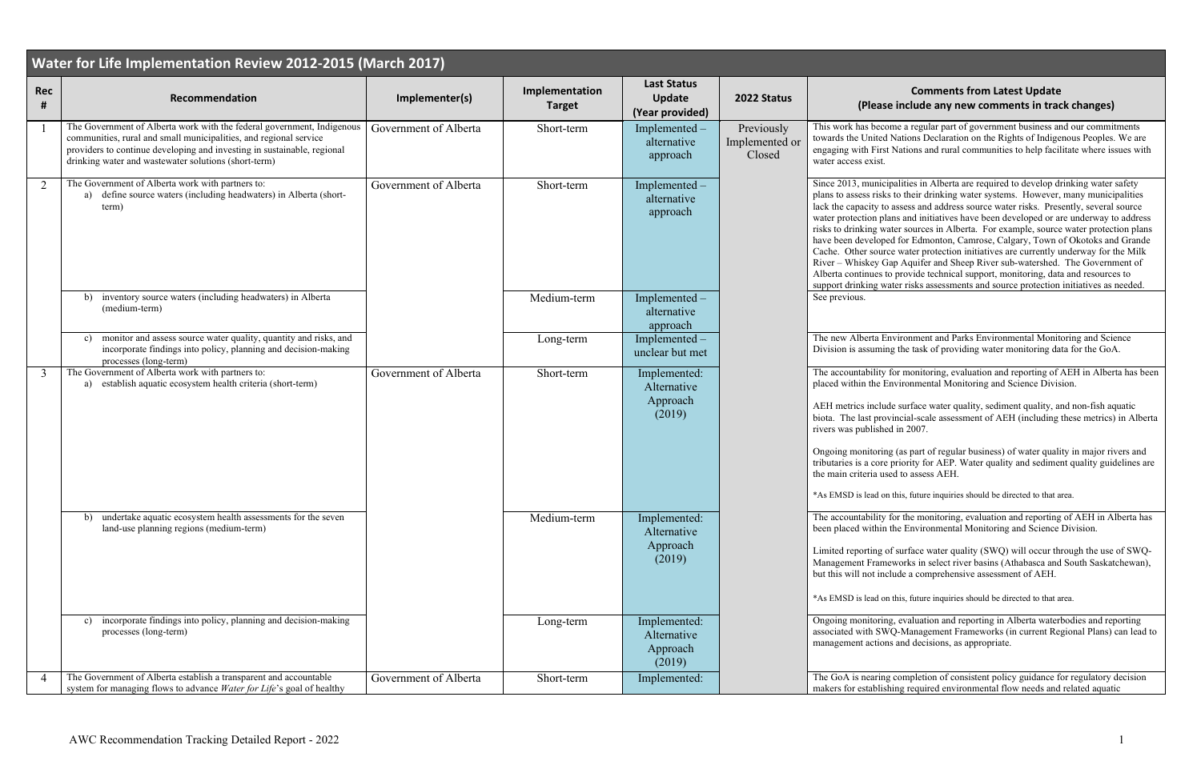## **<sup>2022</sup> Status Comments from Latest Update (B)** include any new comments in track changes)

ome a regular part of government business and our commitments I Nations Declaration on the Rights of Indigenous Peoples. We are st Nations and rural communities to help facilitate where issues with

cipalities in Alberta are required to develop drinking water safety ks to their drinking water systems. However, many municipalities lo assess and address source water risks. Presently, several source lans and initiatives have been developed or are underway to address vater sources in Alberta. For example, source water protection plans hed for Edmonton, Camrose, Calgary, Town of Okotoks and Grande rce water protection initiatives are currently underway for the Milk Gap Aquifer and Sheep River sub-watershed. The Government of to provide technical support, monitoring, data and resources to vater risks assessments and source protection initiatives as needed.

Environment and Parks Environmental Monitoring and Science ing the task of providing water monitoring data for the GoA.

The accountability for monitoring, evaluation and reporting of AEH in Alberta has been Environmental Monitoring and Science Division.

ade surface water quality, sediment quality, and non-fish aquatic biother last provincial-scale assessment of AEH (including these metrics) in Alberta  $red$  in 2007.

ng (as part of regular business) of water quality in major rivers and e priority for AEP. Water quality and sediment quality guidelines are sed to assess AEH.

on this, future inquiries should be directed to that area.

The accountability for the monitoring, evaluation and reporting of AEH in Alberta has the Environmental Monitoring and Science Division.

of surface water quality (SWQ) will occur through the use of SWQmeworks in select river basins (Athabasca and South Saskatchewan), hclude a comprehensive assessment of AEH.

on this, future inquiries should be directed to that area.

ng, evaluation and reporting in Alberta waterbodies and reporting WQ-Management Frameworks (in current Regional Plans) can lead to ons and decisions, as appropriate.

g completion of consistent policy guidance for regulatory decision shing required environmental flow needs and related aquatic

| Water for Life Implementation Review 2012-2015 (March 2017) |                                                                                                                                                                                                                                                                                |                       |                                 |                                                        |                                        |                                                                                                                                                                                                                           |  |  |
|-------------------------------------------------------------|--------------------------------------------------------------------------------------------------------------------------------------------------------------------------------------------------------------------------------------------------------------------------------|-----------------------|---------------------------------|--------------------------------------------------------|----------------------------------------|---------------------------------------------------------------------------------------------------------------------------------------------------------------------------------------------------------------------------|--|--|
| <b>Rec</b><br>#                                             | Recommendation                                                                                                                                                                                                                                                                 | Implementer(s)        | Implementation<br><b>Target</b> | <b>Last Status</b><br><b>Update</b><br>(Year provided) | 2022 Status                            | (Pleas                                                                                                                                                                                                                    |  |  |
|                                                             | The Government of Alberta work with the federal government, Indigenous<br>communities, rural and small municipalities, and regional service<br>providers to continue developing and investing in sustainable, regional<br>drinking water and wastewater solutions (short-term) | Government of Alberta | Short-term                      | Implemented –<br>alternative<br>approach               | Previously<br>Implemented or<br>Closed | This work has bec<br>towards the United<br>engaging with Firs<br>water access exist.                                                                                                                                      |  |  |
| 2                                                           | The Government of Alberta work with partners to:<br>a) define source waters (including headwaters) in Alberta (short-<br>term)                                                                                                                                                 | Government of Alberta | Short-term                      | Implemented -<br>alternative<br>approach               |                                        | Since 2013, munic<br>plans to assess risk<br>lack the capacity to<br>water protection pl<br>risks to drinking w<br>have been develop<br>Cache. Other sour<br>River - Whiskey O<br>Alberta continues<br>support drinking w |  |  |
|                                                             | inventory source waters (including headwaters) in Alberta<br>b)<br>(medium-term)                                                                                                                                                                                               |                       | Medium-term                     | Implemented -<br>alternative<br>approach               |                                        | See previous.                                                                                                                                                                                                             |  |  |
|                                                             | monitor and assess source water quality, quantity and risks, and<br>$\mathbf{c}$<br>incorporate findings into policy, planning and decision-making<br>processes (long-term)                                                                                                    |                       | Long-term                       | Implemented -<br>unclear but met                       |                                        | The new Alberta E<br>Division is assumi                                                                                                                                                                                   |  |  |
| 3                                                           | The Government of Alberta work with partners to:<br>a) establish aquatic ecosystem health criteria (short-term)                                                                                                                                                                | Government of Alberta | Short-term                      | Implemented:<br>Alternative<br>Approach<br>(2019)      |                                        | The accountability<br>placed within the I<br>AEH metrics inclu<br>biota. The last pro<br>rivers was publish<br>Ongoing monitorin<br>tributaries is a core<br>the main criteria us<br>*As EMSD is lead o                   |  |  |
|                                                             | undertake aquatic ecosystem health assessments for the seven<br>b)<br>land-use planning regions (medium-term)                                                                                                                                                                  |                       | Medium-term                     | Implemented:<br>Alternative<br>Approach<br>(2019)      |                                        | The accountability<br>been placed within<br>Limited reporting<br>Management Fram<br>but this will not in<br>*As EMSD is lead o                                                                                            |  |  |
|                                                             | incorporate findings into policy, planning and decision-making<br>$\mathbf{c}$<br>processes (long-term)                                                                                                                                                                        |                       | Long-term                       | Implemented:<br>Alternative<br>Approach<br>(2019)      |                                        | Ongoing monitorin<br>associated with SV<br>management action                                                                                                                                                              |  |  |
| 4                                                           | The Government of Alberta establish a transparent and accountable<br>system for managing flows to advance Water for Life's goal of healthy                                                                                                                                     | Government of Alberta | Short-term                      | Implemented:                                           |                                        | The GoA is nearin<br>makers for establis                                                                                                                                                                                  |  |  |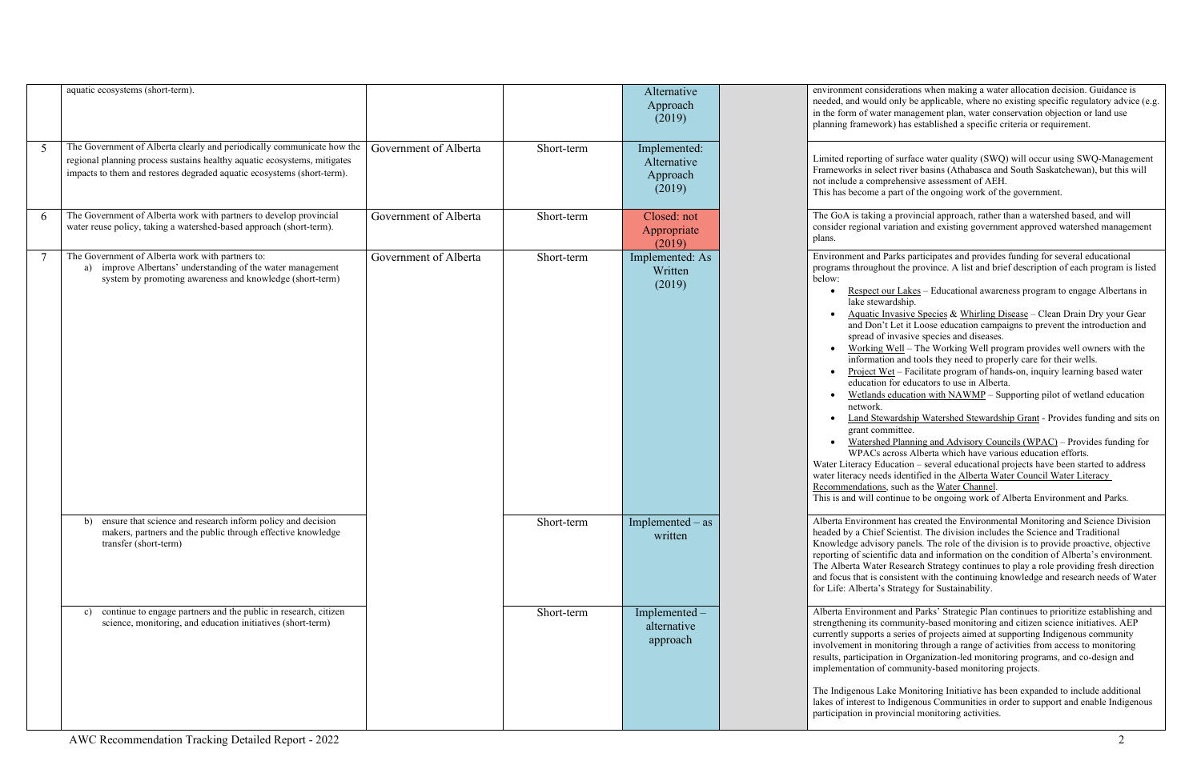|        | aquatic ecosystems (short-term).                                                                                                                                                                                             |                       |            | Alternative<br>Approach<br>(2019)                 | environment consi<br>needed, and would<br>in the form of wat<br>planning framewo                                                                                                                                                                                                                                                                |
|--------|------------------------------------------------------------------------------------------------------------------------------------------------------------------------------------------------------------------------------|-----------------------|------------|---------------------------------------------------|-------------------------------------------------------------------------------------------------------------------------------------------------------------------------------------------------------------------------------------------------------------------------------------------------------------------------------------------------|
| 5      | The Government of Alberta clearly and periodically communicate how the<br>regional planning process sustains healthy aquatic ecosystems, mitigates<br>impacts to them and restores degraded aquatic ecosystems (short-term). | Government of Alberta | Short-term | Implemented:<br>Alternative<br>Approach<br>(2019) | Limited reporting<br>Frameworks in sel<br>not include a comp<br>This has become a                                                                                                                                                                                                                                                               |
| 6      | The Government of Alberta work with partners to develop provincial<br>water reuse policy, taking a watershed-based approach (short-term).                                                                                    | Government of Alberta | Short-term | Closed: not<br>Appropriate<br>(2019)              | The GoA is taking<br>consider regional<br>plans.                                                                                                                                                                                                                                                                                                |
| $\tau$ | The Government of Alberta work with partners to:<br>improve Albertans' understanding of the water management<br>a)<br>system by promoting awareness and knowledge (short-term)                                               | Government of Alberta | Short-term | Implemented: As<br>Written<br>(2019)              | Environment and l<br>programs through<br>below:<br>Respect of<br>lake stew<br><b>Aquatic I</b><br>and Don'<br>spread of<br>Working<br>informati<br>Project W<br>education<br>Wetlands<br>network.<br><b>Land Stey</b><br>grant con<br>Watershe<br>WPACs a<br>Water Literacy Ed<br>water literacy need<br>Recommendations<br>This is and will co |
|        | b) ensure that science and research inform policy and decision<br>makers, partners and the public through effective knowledge<br>transfer (short-term)                                                                       |                       | Short-term | Implemented – as<br>written                       | Alberta Environm<br>headed by a Chief<br>Knowledge advisc<br>reporting of scient<br>The Alberta Water<br>and focus that is c<br>for Life: Alberta's                                                                                                                                                                                             |
|        | continue to engage partners and the public in research, citizen<br>c)<br>science, monitoring, and education initiatives (short-term)                                                                                         |                       | Short-term | Implemented -<br>alternative<br>approach          | Alberta Environm<br>strengthening its c<br>currently supports<br>involvement in mo<br>results, participatio<br>implementation of                                                                                                                                                                                                                |
|        |                                                                                                                                                                                                                              |                       |            |                                                   | The Indigenous La<br>lakes of interest to<br>participation in pro                                                                                                                                                                                                                                                                               |

iderations when making a water allocation decision. Guidance is d only be applicable, where no existing specific regulatory advice (e.g. ter management plan, water conservation objection or land use prk) has established a specific criteria or requirement.

of surface water quality (SWQ) will occur using SWQ-Management lect river basins (Athabasca and South Saskatchewan), but this will prehensive assessment of AEH.

a part of the ongoing work of the government.

g a provincial approach, rather than a watershed based, and will variation and existing government approved watershed management

Parks participates and provides funding for several educational programs the province. A list and brief description of each program is listed

- bur Lakes Educational awareness program to engage Albertans in vardship.
- Invasive Species & [Whirling Disease](http://aep.alberta.ca/fish-wildlife/wilhttp:/aep.alberta.ca/fish-wildlife/wildlife-diseases/whirling-disease/default.aspxdlife-diseases/whirling-disease/default.aspx) Clean Drain Dry your Gear If Let it Loose education campaigns to prevent the introduction and f invasive species and diseases.
- Well The [Working Well](http://aep.alberta.ca/water/education-guidelines/working-well/default.aspx) program provides well owners with the ion and tools they need to properly care for their wells.
- Vet Facilitate program of hands-on, inquiry learning based water n for educators to use in Alberta.
- is education with NAWMP Supporting pilot of wetland education
- wardship Watershed Stewardship Grant Provides funding and sits on nmittee.
- ed Planning and Advisory Councils (WPAC) Provides funding for across Alberta which have various education efforts.
- lucation several educational projects have been started to address ds identified in the Alberta Water Council Water Literacy s, such as the [Water Channel.](https://talkaep.alberta.ca/the-water-channel)
- ontinue to be ongoing work of Alberta Environment and Parks.

ent has created the Environmental Monitoring and Science Division Scientist. The division includes the Science and Traditional bry panels. The role of the division is to provide proactive, objective tific data and information on the condition of Alberta's environment. r Research Strategy continues to play a role providing fresh direction onsistent with the continuing knowledge and research needs of Water **Strategy for Sustainability.** 

ent and Parks' Strategic Plan continues to prioritize establishing and community-based monitoring and citizen science initiatives. AEP a series of projects aimed at supporting Indigenous community onitoring through a range of activities from access to monitoring on in Organization-led monitoring programs, and co-design and f community-based monitoring projects.

ake Monitoring Initiative has been expanded to include additional Indigenous Communities in order to support and enable Indigenous povincial monitoring activities.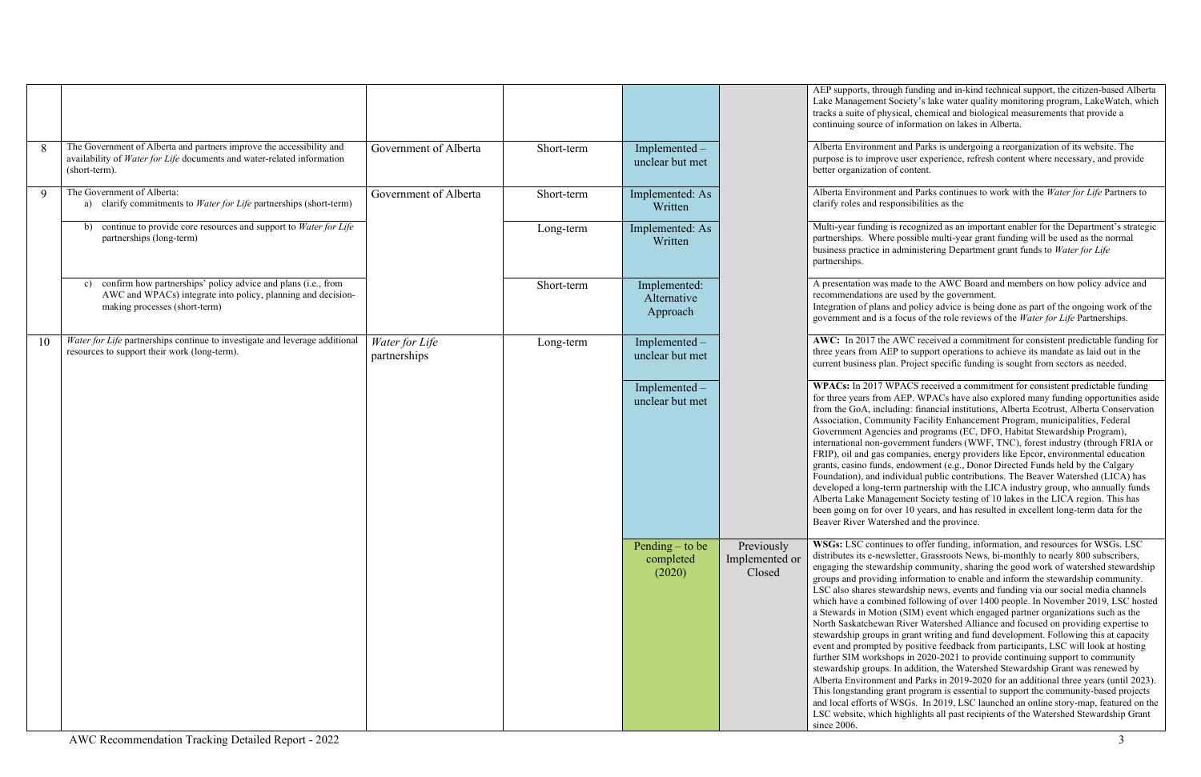|    |                                                                                                                                                                      |                                |            |                                          |                                        | AEP supports, thi<br>Lake Managemen<br>tracks a suite of p<br>continuing source                                                                                                                                                                                                                                                                               |
|----|----------------------------------------------------------------------------------------------------------------------------------------------------------------------|--------------------------------|------------|------------------------------------------|----------------------------------------|---------------------------------------------------------------------------------------------------------------------------------------------------------------------------------------------------------------------------------------------------------------------------------------------------------------------------------------------------------------|
| 8  | The Government of Alberta and partners improve the accessibility and<br>availability of Water for Life documents and water-related information<br>(short-term).      | Government of Alberta          | Short-term | Implemented -<br>unclear but met         |                                        | Alberta Environm<br>purpose is to imp<br>better organizatio                                                                                                                                                                                                                                                                                                   |
| 9  | The Government of Alberta:<br>a) clarify commitments to Water for Life partnerships (short-term)                                                                     | Government of Alberta          | Short-term | Implemented: As<br>Written               |                                        | Alberta Environm<br>clarify roles and r                                                                                                                                                                                                                                                                                                                       |
|    | continue to provide core resources and support to Water for Life<br>b)<br>partnerships (long-term)                                                                   |                                | Long-term  | Implemented: As<br>Written               |                                        | Multi-year fundin<br>partnerships. Wh<br>business practice<br>partnerships.                                                                                                                                                                                                                                                                                   |
|    | confirm how partnerships' policy advice and plans (i.e., from<br>c)<br>AWC and WPACs) integrate into policy, planning and decision-<br>making processes (short-term) |                                | Short-term | Implemented:<br>Alternative<br>Approach  |                                        | A presentation wa<br>recommendations<br>Integration of pla<br>government and i                                                                                                                                                                                                                                                                                |
| 10 | Water for Life partnerships continue to investigate and leverage additional<br>resources to support their work (long-term).                                          | Water for Life<br>partnerships | Long-term  | Implemented -<br>unclear but met         |                                        | AWC: In 2017 tl<br>three years from<br>current business p                                                                                                                                                                                                                                                                                                     |
|    |                                                                                                                                                                      |                                |            | Implemented -<br>unclear but met         |                                        | <b>WPACs:</b> In 2017<br>for three years fro<br>from the GoA, in<br>Association, Com<br>Government Age:<br>international non-<br>FRIP), oil and gas<br>grants, casino fun<br>Foundation), and<br>developed a long-<br>Alberta Lake Mar<br>been going on for<br>Beaver River Wa                                                                                |
|    |                                                                                                                                                                      |                                |            | Pending $-$ to be<br>completed<br>(2020) | Previously<br>Implemented or<br>Closed | <b>WSGs: LSC</b> cont<br>distributes its e-no<br>engaging the stew<br>groups and provid<br>LSC also shares s<br>which have a con<br>a Stewards in Mo<br>North Saskatchev<br>stewardship group<br>event and prompt<br>further SIM work<br>stewardship group<br>Alberta Environm<br>This longstanding<br>and local efforts o<br>LSC website, whi<br>since 2006. |

rough funding and in-kind technical support, the citizen-based Alberta nt Society's lake water quality monitoring program, LakeWatch, which bhysical, chemical and biological measurements that provide a e of information on lakes in Alberta.

hent and Parks is undergoing a reorganization of its website. The prove user experience, refresh content where necessary, and provide on of content.

hent and Parks continues to work with the *Water for Life* Partners to responsibilities as the

Ing is recognized as an important enabler for the Department's strategic nere possible multi-year grant funding will be used as the normal in administering Department grant funds to *Water for Life* 

as made to the AWC Board and members on how policy advice and are used by the government.

Integration and policy advice is being done as part of the ongoing work of the is a focus of the role reviews of the *Water for Life* Partnerships.

the AWC received a commitment for consistent predictable funding for AEP to support operations to achieve its mandate as laid out in the plan. Project specific funding is sought from sectors as needed.

**WPACS** received a commitment for consistent predictable funding om AEP. WPACs have also explored many funding opportunities aside from the Goarnal institutions, Alberta Ecotrust, Alberta Conservation nmunity Facility Enhancement Program, municipalities, Federal encies and programs (EC, DFO, Habitat Stewardship Program), -government funders (WWF, TNC), forest industry (through FRIA or Is companies, energy providers like Epcor, environmental education nds, endowment (e.g., Donor Directed Funds held by the Calgary individual public contributions. The Beaver Watershed (LICA) has -term partnership with the LICA industry group, who annually funds nagement Society testing of 10 lakes in the LICA region. This has over 10 years, and has resulted in excellent long-term data for the tershed and the province.

tinues to offer funding, information, and resources for WSGs. LSC distributes its e-monthly to nearly 800 subscribers, e-wsletter, Grassroots News, bi-monthly to nearly 800 subscribers, vardship community, sharing the good work of watershed stewardship ding information to enable and inform the stewardship community. stewardship news, events and funding via our social media channels nbined following of over 1400 people. In November 2019, LSC hosted btion (SIM) event which engaged partner organizations such as the wan River Watershed Alliance and focused on providing expertise to ps in grant writing and fund development. Following this at capacity ted by positive feedback from participants, LSC will look at hosting  $\varepsilon$ shops in 2020-2021 to provide continuing support to community ps. In addition, the Watershed Stewardship Grant was renewed by hent and Parks in 2019-2020 for an additional three years (until 2023). g grant program is essential to support the community-based projects of WSGs. In 2019, LSC launched an online story-map, featured on the ich highlights all past recipients of the Watershed Stewardship Grant